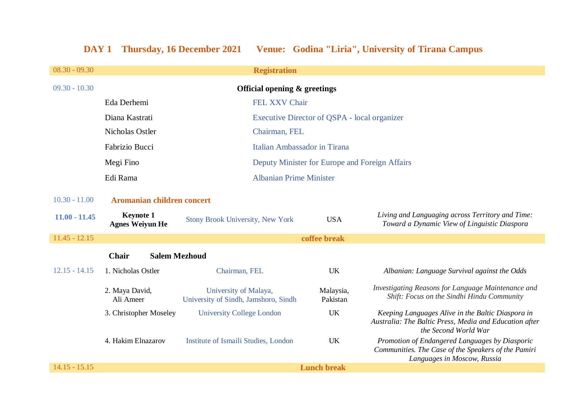# **DAY 1 Thursday, 16 December 2021 Venue: Godina "Liria", University of Tirana Campus**

| $08.30 - 09.30$ | <b>Registration</b>                        |                                                               |                       |                                                                                                                                      |  |
|-----------------|--------------------------------------------|---------------------------------------------------------------|-----------------------|--------------------------------------------------------------------------------------------------------------------------------------|--|
| $09.30 - 10.30$ | Official opening $\&$ greetings            |                                                               |                       |                                                                                                                                      |  |
|                 | Eda Derhemi                                | <b>FEL XXV Chair</b>                                          |                       |                                                                                                                                      |  |
|                 | Diana Kastrati                             | Executive Director of QSPA - local organizer                  |                       |                                                                                                                                      |  |
|                 | Nicholas Ostler                            | Chairman, FEL                                                 |                       |                                                                                                                                      |  |
|                 | Fabrizio Bucci                             | Italian Ambassador in Tirana                                  |                       |                                                                                                                                      |  |
|                 | Megi Fino                                  | Deputy Minister for Europe and Foreign Affairs                |                       |                                                                                                                                      |  |
|                 | Edi Rama                                   | <b>Albanian Prime Minister</b>                                |                       |                                                                                                                                      |  |
| $10.30 - 11.00$ | Aromanian children concert                 |                                                               |                       |                                                                                                                                      |  |
| $11.00 - 11.45$ | <b>Keynote 1</b><br><b>Agnes Weiyun He</b> | <b>Stony Brook University, New York</b>                       | <b>USA</b>            | Living and Languaging across Territory and Time:<br>Toward a Dynamic View of Linguistic Diaspora                                     |  |
| $11.45 - 12.15$ |                                            | coffee break                                                  |                       |                                                                                                                                      |  |
|                 | <b>Chair</b><br><b>Salem Mezhoud</b>       |                                                               |                       |                                                                                                                                      |  |
| $12.15 - 14.15$ | 1. Nicholas Ostler                         | Chairman, FEL                                                 | <b>UK</b>             | Albanian: Language Survival against the Odds                                                                                         |  |
|                 | 2. Maya David,<br>Ali Ameer                | University of Malaya,<br>University of Sindh, Jamshoro, Sindh | Malaysia,<br>Pakistan | Investigating Reasons for Language Maintenance and<br>Shift: Focus on the Sindhi Hindu Community                                     |  |
|                 | 3. Christopher Moseley                     | <b>University College London</b>                              | <b>UK</b>             | Keeping Languages Alive in the Baltic Diaspora in<br>Australia: The Baltic Press, Media and Education after<br>the Second World War  |  |
|                 | 4. Hakim Elnazarov                         | Institute of Ismaili Studies, London                          | <b>UK</b>             | Promotion of Endangered Languages by Diasporic<br>Communities. The Case of the Speakers of the Pamiri<br>Languages in Moscow, Russia |  |
| $14.15 - 15.15$ |                                            |                                                               | <b>Lunch break</b>    |                                                                                                                                      |  |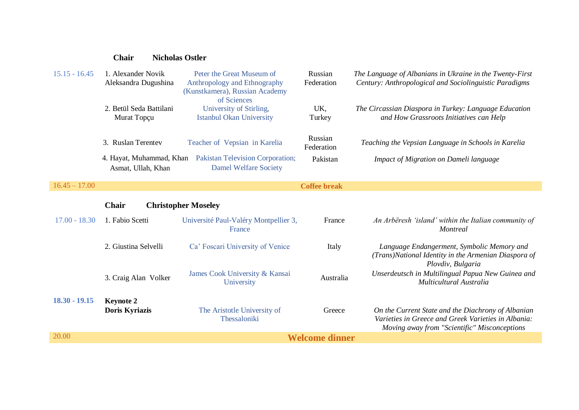### **Chair Nicholas Ostler**

| $15.15 - 16.45$ | L. Alexander Novik                  | Peter the Great Museum of               | Russian             | The Language of Albanians in Ukraine in the Twenty-First |
|-----------------|-------------------------------------|-----------------------------------------|---------------------|----------------------------------------------------------|
|                 | Aleksandra Dugushina                | Anthropology and Ethnography            | Federation          | Century: Anthropological and Sociolinguistic Paradigms   |
|                 |                                     | (Kunstkamera), Russian Academy          |                     |                                                          |
|                 |                                     | of Sciences                             |                     |                                                          |
|                 | 2. Betül Seda Battilani             | University of Stirling,                 | UK,                 | The Circassian Diaspora in Turkey: Language Education    |
|                 | Murat Topçu                         | <b>Istanbul Okan University</b>         | Turkey              | and How Grassroots Initiatives can Help                  |
|                 |                                     |                                         |                     |                                                          |
|                 | 3. Ruslan Terentev                  | Teacher of Vepsian in Karelia           | Russian             | Teaching the Vepsian Language in Schools in Karelia      |
|                 |                                     |                                         | Federation          |                                                          |
|                 | 4. Hayat, Muhammad, Khan            | <b>Pakistan Television Corporation;</b> | Pakistan            | Impact of Migration on Dameli language                   |
|                 | Asmat, Ullah, Khan                  | <b>Damel Welfare Society</b>            |                     |                                                          |
|                 |                                     |                                         |                     |                                                          |
| $16.45 - 17.00$ |                                     |                                         | <b>Coffee break</b> |                                                          |
|                 |                                     |                                         |                     |                                                          |
|                 | Chair<br><b>Christopher Moseley</b> |                                         |                     |                                                          |

| $17.00 - 18.30$ | 1. Fabio Scetti                    | Université Paul-Valéry Montpellier 3,<br>France | France    | An Arbëresh 'island' within the Italian community of<br><i>Montreal</i>                                                                                   |  |
|-----------------|------------------------------------|-------------------------------------------------|-----------|-----------------------------------------------------------------------------------------------------------------------------------------------------------|--|
|                 | 2. Giustina Selvelli               | Ca' Foscari University of Venice                | Italy     | Language Endangerment, Symbolic Memory and<br>(Trans)National Identity in the Armenian Diaspora of<br>Plovdiv, Bulgaria                                   |  |
|                 | 3. Craig Alan Volker               | James Cook University & Kansai<br>University    | Australia | Unserdeutsch in Multilingual Papua New Guinea and<br>Multicultural Australia                                                                              |  |
| $18.30 - 19.15$ | <b>Keynote 2</b><br>Doris Kyriazis | The Aristotle University of<br>Thessaloniki     | Greece    | On the Current State and the Diachrony of Albanian<br>Varieties in Greece and Greek Varieties in Albania:<br>Moving away from "Scientific" Misconceptions |  |
| 20.00           |                                    | <b>Welcome dinner</b>                           |           |                                                                                                                                                           |  |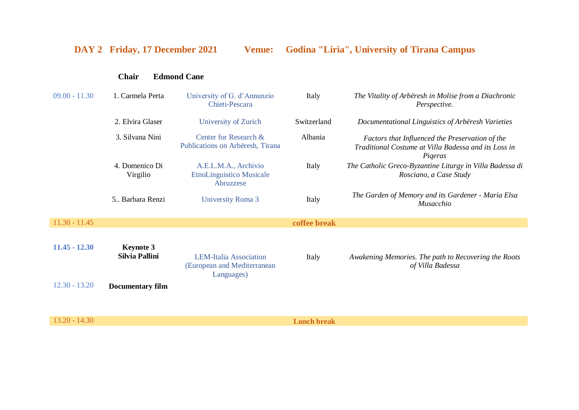## **DAY 2 Friday, 17 December 2021 Venue: Godina "Liria", University of Tirana Campus**

### **Chair Edmond Cane**

| $09.00 - 11.30$ | 1. Carmela Perta                   | University of G. d'Annunzio<br>Chieti-Pescara                              | Italy        | The Vitality of Arbëresh in Molise from a Diachronic<br>Perspective.                                               |
|-----------------|------------------------------------|----------------------------------------------------------------------------|--------------|--------------------------------------------------------------------------------------------------------------------|
|                 | 2. Elvira Glaser                   | University of Zurich                                                       | Switzerland  | Documentational Linguistics of Arbëresh Varieties                                                                  |
|                 | 3. Silvana Nini                    | Center for Research &<br>Publications on Arbëresh, Tirana                  | Albania      | Factors that Influenced the Preservation of the<br>Traditional Costume at Villa Badessa and its Loss in<br>Pigeras |
|                 | 4. Domenico Di<br>Virgilio         | A.E.L.M.A., Archivio<br><b>EtnoLinguistico Musicale</b><br>Abruzzese       | Italy        | The Catholic Greco-Byzantine Liturgy in Villa Badessa di<br>Rosciano, a Case Study                                 |
|                 | 5 Barbara Renzi                    | <b>University Roma 3</b>                                                   | Italy        | The Garden of Memory and its Gardener - Maria Elsa<br>Musacchio                                                    |
| $11.30 - 11.45$ |                                    |                                                                            | coffee break |                                                                                                                    |
| $11.45 - 12.30$ | <b>Keynote 3</b><br>Silvia Pallini | <b>LEM-Italia Association</b><br>(European and Mediterranean<br>Languages) | Italy        | Awakening Memories. The path to Recovering the Roots<br>of Villa Badessa                                           |
| $12.30 - 13.20$ | <b>Documentary film</b>            |                                                                            |              |                                                                                                                    |

13.20 - 14.30 **Lunch break**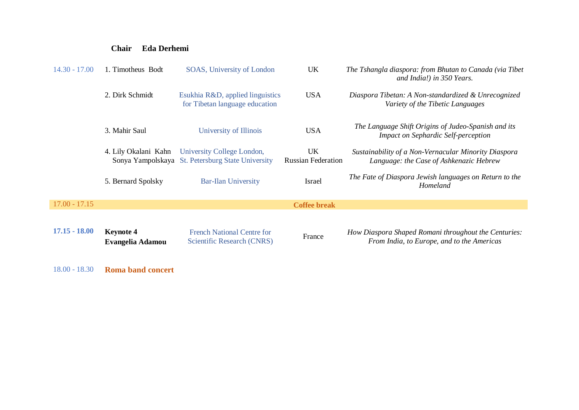### **Chair Eda Derhemi**

| $14.30 - 17.00$ | 1. Timotheus Bodt                    | SOAS, University of London                                                      | <b>UK</b>                       | The Tshangla diaspora: from Bhutan to Canada (via Tibet<br>and India!) in 350 Years.               |
|-----------------|--------------------------------------|---------------------------------------------------------------------------------|---------------------------------|----------------------------------------------------------------------------------------------------|
|                 | 2. Dirk Schmidt                      | Esukhia R&D, applied linguistics<br>for Tibetan language education              | <b>USA</b>                      | Diaspora Tibetan: A Non-standardized & Unrecognized<br>Variety of the Tibetic Languages            |
|                 | 3. Mahir Saul                        | University of Illinois                                                          | <b>USA</b>                      | The Language Shift Origins of Judeo-Spanish and its<br><b>Impact on Sephardic Self-perception</b>  |
|                 | 4. Lily Okalani Kahn                 | University College London,<br>Sonya Yampolskaya St. Petersburg State University | UK<br><b>Russian Federation</b> | Sustainability of a Non-Vernacular Minority Diaspora<br>Language: the Case of Ashkenazic Hebrew    |
|                 | 5. Bernard Spolsky                   | <b>Bar-Ilan University</b>                                                      | Israel                          | The Fate of Diaspora Jewish languages on Return to the<br>Homeland                                 |
| $17.00 - 17.15$ |                                      |                                                                                 | <b>Coffee break</b>             |                                                                                                    |
| $17.15 - 18.00$ | <b>Keynote 4</b><br>Evangelia Adamou | <b>French National Centre for</b><br>Scientific Research (CNRS)                 | France                          | How Diaspora Shaped Romani throughout the Centuries:<br>From India, to Europe, and to the Americas |

18.00 - 18.30 **Roma band concert**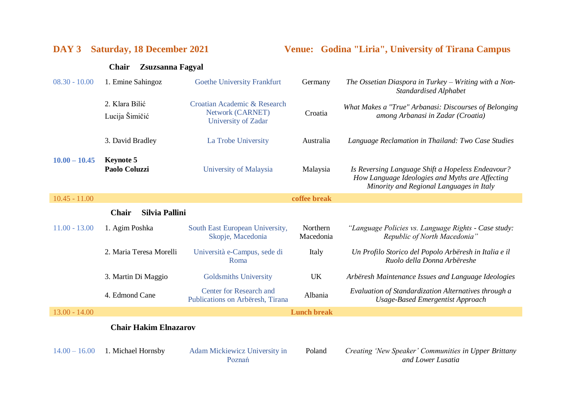**DAY 3 Saturday, 18 December 2021 Venue: Godina "Liria", University of Tirana Campus**

### **Chair Zsuzsanna Fagyal**

| $08.30 - 10.00$ | 1. Emine Sahingoz                 | Goethe University Frankfurt                                             | Germany               | The Ossetian Diaspora in Turkey – Writing with a Non-<br>Standardised Alphabet                                                                   |
|-----------------|-----------------------------------|-------------------------------------------------------------------------|-----------------------|--------------------------------------------------------------------------------------------------------------------------------------------------|
|                 | 2. Klara Bilić<br>Lucija Šimičić  | Croatian Academic & Research<br>Network (CARNET)<br>University of Zadar | Croatia               | What Makes a "True" Arbanasi: Discourses of Belonging<br>among Arbanasi in Zadar (Croatia)                                                       |
|                 | 3. David Bradley                  | La Trobe University                                                     | Australia             | Language Reclamation in Thailand: Two Case Studies                                                                                               |
| $10.00 - 10.45$ | <b>Keynote 5</b><br>Paolo Coluzzi | University of Malaysia                                                  | Malaysia              | Is Reversing Language Shift a Hopeless Endeavour?<br>How Language Ideologies and Myths are Affecting<br>Minority and Regional Languages in Italy |
| $10.45 - 11.00$ |                                   |                                                                         | coffee break          |                                                                                                                                                  |
|                 | Silvia Pallini<br><b>Chair</b>    |                                                                         |                       |                                                                                                                                                  |
| $11.00 - 13.00$ | 1. Agim Poshka                    | South East European University,<br>Skopje, Macedonia                    | Northern<br>Macedonia | "Language Policies vs. Language Rights - Case study:<br>Republic of North Macedonia"                                                             |
|                 | 2. Maria Teresa Morelli           | Università e-Campus, sede di<br>Roma                                    | Italy                 | Un Profilo Storico del Popolo Arbëresh in Italia e il<br>Ruolo della Donna Arbëreshe                                                             |
|                 | 3. Martin Di Maggio               | <b>Goldsmiths University</b>                                            | <b>UK</b>             | Arbëresh Maintenance Issues and Language Ideologies                                                                                              |
|                 | 4. Edmond Cane                    | Center for Research and<br>Publications on Arbëresh, Tirana             | Albania               | Evaluation of Standardization Alternatives through a<br>Usage-Based Emergentist Approach                                                         |
| $13.00 - 14.00$ |                                   |                                                                         | <b>Lunch break</b>    |                                                                                                                                                  |
|                 | <b>Chair Hakim Elnazarov</b>      |                                                                         |                       |                                                                                                                                                  |
| $14.00 - 16.00$ | 1. Michael Hornsby                | Adam Mickiewicz University in                                           | Poland                | Creating 'New Speaker' Communities in Upper Brittany                                                                                             |

Poznań

Poland *Creating 'New Speaker' Communities in Upper Brittany and Lower Lusatia*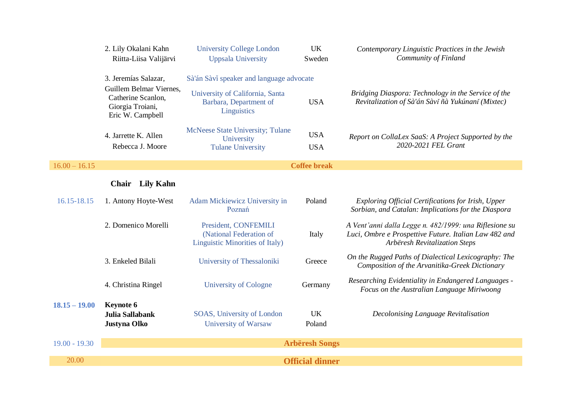|                 | 2. Lily Okalani Kahn<br>Riitta-Liisa Valijärvi                                        | <b>University College London</b><br><b>Uppsala University</b>                      | <b>UK</b><br>Sweden      | Contemporary Linguistic Practices in the Jewish<br>Community of Finland                                                                          |  |
|-----------------|---------------------------------------------------------------------------------------|------------------------------------------------------------------------------------|--------------------------|--------------------------------------------------------------------------------------------------------------------------------------------------|--|
|                 | 3. Jeremías Salazar,                                                                  | Sà'án Sàvi speaker and language advocate                                           |                          |                                                                                                                                                  |  |
|                 | Guillem Belmar Viernes,<br>Catherine Scanlon,<br>Giorgia Troiani,<br>Eric W. Campbell | University of California, Santa<br>Barbara, Department of<br>Linguistics           | <b>USA</b>               | Bridging Diaspora: Technology in the Service of the<br>Revitalization of Sà'án Sàvǐ ñà Yukúnanǐ (Mixtec)                                         |  |
|                 | 4. Jarrette K. Allen<br>Rebecca J. Moore                                              | McNeese State University; Tulane<br>University<br><b>Tulane University</b>         | <b>USA</b><br><b>USA</b> | Report on CollaLex SaaS: A Project Supported by the<br>2020-2021 FEL Grant                                                                       |  |
| $16.00 - 16.15$ |                                                                                       |                                                                                    | <b>Coffee break</b>      |                                                                                                                                                  |  |
|                 | Chair Lily Kahn                                                                       |                                                                                    |                          |                                                                                                                                                  |  |
| 16.15-18.15     | 1. Antony Hoyte-West                                                                  | Adam Mickiewicz University in<br>Poznań                                            | Poland                   | Exploring Official Certifications for Irish, Upper<br>Sorbian, and Catalan: Implications for the Diaspora                                        |  |
|                 | 2. Domenico Morelli                                                                   | President, CONFEMILI<br>(National Federation of<br>Linguistic Minorities of Italy) | Italy                    | A Vent'anni dalla Legge n. 482/1999: una Riflesione su<br>Luci, Ombre e Prospettive Future. Italian Law 482 and<br>Arbëresh Revitalization Steps |  |
|                 | 3. Enkeled Bilali                                                                     | University of Thessaloniki                                                         | Greece                   | On the Rugged Paths of Dialectical Lexicography: The<br>Composition of the Arvanitika-Greek Dictionary                                           |  |
|                 | 4. Christina Ringel                                                                   | <b>University of Cologne</b>                                                       | Germany                  | Researching Evidentiality in Endangered Languages -<br>Focus on the Australian Language Miriwoong                                                |  |
| $18.15 - 19.00$ | <b>Keynote 6</b><br>Julia Sallabank<br>Justyna Olko                                   | SOAS, University of London<br>University of Warsaw                                 | <b>UK</b><br>Poland      | Decolonising Language Revitalisation                                                                                                             |  |
| $19.00 - 19.30$ | <b>Arbëresh Songs</b>                                                                 |                                                                                    |                          |                                                                                                                                                  |  |
| 20.00           | <b>Official dinner</b>                                                                |                                                                                    |                          |                                                                                                                                                  |  |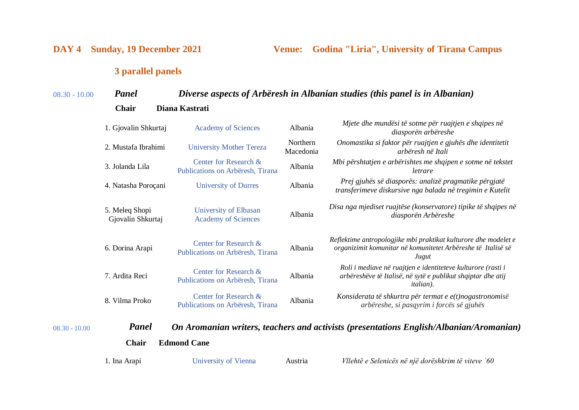**DAY 4 Sunday, 19 December 2021 Venue: Godina "Liria", University of Tirana Campus**

## **3 parallel panels**

## 08.30 - 10.00 *Panel Diverse aspects of Arbëresh in Albanian studies (this panel is in Albanian)*

| Chair | Diana Kastrati |
|-------|----------------|
|       |                |

|                 | 1. Gjovalin Shkurtaj                | <b>Academy of Sciences</b>                                | Albania               | Mjete dhe mundësi të sotme për ruajtjen e shqipes në<br>diasporën arbëreshe                                                                       |
|-----------------|-------------------------------------|-----------------------------------------------------------|-----------------------|---------------------------------------------------------------------------------------------------------------------------------------------------|
|                 | 2. Mustafa Ibrahimi                 | <b>University Mother Tereza</b>                           | Northern<br>Macedonia | Onomastika si faktor për ruajtjen e gjuhës dhe identitetit<br>arbëresh në Itali                                                                   |
|                 | 3. Jolanda Lila                     | Center for Research &<br>Publications on Arbëresh, Tirana | Albania               | Mbi përshtatjen e arbërishtes me shqipen e sotme në tekstet<br>letrare                                                                            |
|                 | 4. Natasha Poroçani                 | <b>University of Durres</b>                               | Albania               | Prej gjuhës së diasporës: analizë pragmatike përgjatë<br>transferimeve diskursive nga balada në tregimin e Kutelit                                |
|                 | 5. Meleq Shopi<br>Gjovalin Shkurtaj | University of Elbasan<br><b>Academy of Sciences</b>       | Albania               | Disa nga mjediset ruajtëse (konservatore) tipike të shqipes në<br>diasporën Arbëreshe                                                             |
|                 | 6. Dorina Arapi                     | Center for Research &<br>Publications on Arbëresh, Tirana | Albania               | Reflektime antropologjike mbi praktikat kulturore dhe modelet e<br>organizimit komunitar në komunitetet Arbëreshe të Italisë së<br>Jugut          |
|                 | 7. Ardita Reci                      | Center for Research &<br>Publications on Arbëresh, Tirana | Albania               | Roli i mediave në ruajtjen e identiteteve kulturore (rasti i<br>arbëreshëve të Italisë, në sytë e publikut shqiptar dhe atij<br><i>italian</i> ). |
|                 | 8. Vilma Proko                      | Center for Research &<br>Publications on Arbëresh, Tirana | Albania               | Konsiderata të shkurtra për termat e e(t)nogastronomisë<br>arbëreshe, si pasqyrim i forcës së gjuhës                                              |
| $08.30 - 10.00$ | Panel                               |                                                           |                       | On Aromanian writers, teachers and activists (presentations English/Albanian/Aromanian)                                                           |
|                 | <b>Chair</b>                        | <b>Edmond Cane</b>                                        |                       |                                                                                                                                                   |

| University of Vienna<br>1. Ina Arapi | Austria | Vllehtë e Selenicës në një dorëshkrim të viteve '60 |  |
|--------------------------------------|---------|-----------------------------------------------------|--|
|--------------------------------------|---------|-----------------------------------------------------|--|